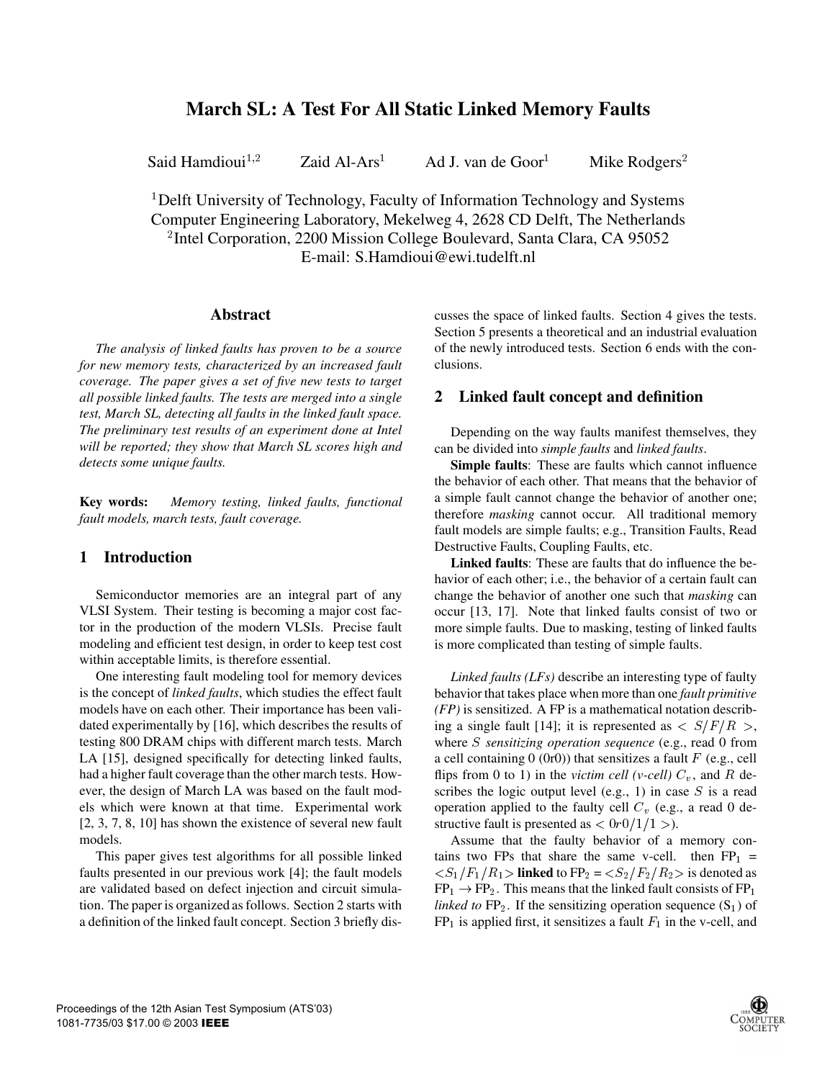# **March SL: A Test For All Static Linked Memory Faults**

Said Hamdioui $^{1,2}$ 

Zaid Al-Ars<sup>1</sup>

Ad J. van de Goor

Mike Rodgers<sup>2</sup>

<sup>1</sup>Delft University of Technology, Faculty of Information Technology and Systems Computer Engineering Laboratory, Mekelweg 4, 2628 CD Delft, The Netherlands  $^2$ Intel Corporation, 2200 Mission College Boulevard, Santa Clara, CA 95052 E-mail: S.Hamdioui@ewi.tudelft.nl

### **Abstract**

*The analysis of linked faults has proven to be a source for new memory tests, characterized by an increased fault coverage. The paper gives a set of five new tests to target all possible linked faults. The tests are merged into a single test, March SL, detecting all faults in the linked fault space. The preliminary test results of an experiment done at Intel will be reported; they show that March SL scores high and detects some unique faults.*

**Key words:** *Memory testing, linked faults, functional fault models, march tests, fault coverage.*

### **1 Introduction**

Semiconductor memories are an integral part of any VLSI System. Their testing is becoming a major cost factor in the production of the modern VLSIs. Precise fault modeling and efficient test design, in order to keep test cost within acceptable limits, is therefore essential.

One interesting fault modeling tool for memory devices is the concept of *linked faults*, which studies the effect fault models have on each other. Their importance has been validated experimentally by [16], which describes the results of testing 800 DRAM chips with different march tests. March LA [15], designed specifically for detecting linked faults, had a higher fault coverage than the other march tests. However, the design of March LA was based on the fault models which were known at that time. Experimental work [2, 3, 7, 8, 10] has shown the existence of several new fault models.

This paper gives test algorithms for all possible linked faults presented in our previous work [4]; the fault models are validated based on defect injection and circuit simulation. The paper is organized as follows. Section 2 starts with a definition of the linked fault concept. Section 3 briefly discusses the space of linked faults. Section 4 gives the tests. Section 5 presents a theoretical and an industrial evaluation of the newly introduced tests. Section 6 ends with the conclusions.

### **2 Linked fault concept and definition**

Depending on the way faults manifest themselves, they can be divided into *simple faults* and *linked faults*.

**Simple faults**: These are faults which cannot influence the behavior of each other. That means that the behavior of a simple fault cannot change the behavior of another one; therefore *masking* cannot occur. All traditional memory fault models are simple faults; e.g., Transition Faults, Read Destructive Faults, Coupling Faults, etc.

**Linked faults**: These are faults that do influence the behavior of each other; i.e., the behavior of a certain fault can change the behavior of another one such that *masking* can occur [13, 17]. Note that linked faults consist of two or more simple faults. Due to masking, testing of linked faults is more complicated than testing of simple faults.

*Linked faults (LFs)* describe an interesting type of faulty behavior that takes place when more than one *fault primitive (FP)* is sensitized. A FP is a mathematical notation describing a single fault [14]; it is represented as  $\langle S/F/R \rangle$ , where *S* sensitizing operation sequence (e.g., read 0 from a cell containing  $0(0r0)$  that sensitizes a fault F (e.g., cell flips from 0 to 1) in the *victim cell* (*v-cell*)  $C_v$ , and R describes the logic output level (e.g., 1) in case  $S$  is a read operation applied to the faulty cell  $C_v$  (e.g., a read 0 destructive fault is presented as  $\langle 0r \frac{0}{1} \rangle$ .

Assume that the faulty behavior of a memory contains two FPs that share the same v-cell. then  $FP_1$  =  $\langle S_1/F_1/R_1 \rangle$  linked to FP<sub>2</sub> =  $\langle S_2/F_2/R_2 \rangle$  is denoted as  $FP_1 \rightarrow FP_2$ . This means that the linked fault consists of  $FP_1$ *linked to*  $FP_2$ . If the sensitizing operation sequence  $(S_1)$  of  $FP<sub>1</sub>$  is applied first, it sensitizes a fault  $F<sub>1</sub>$  in the v-cell, and

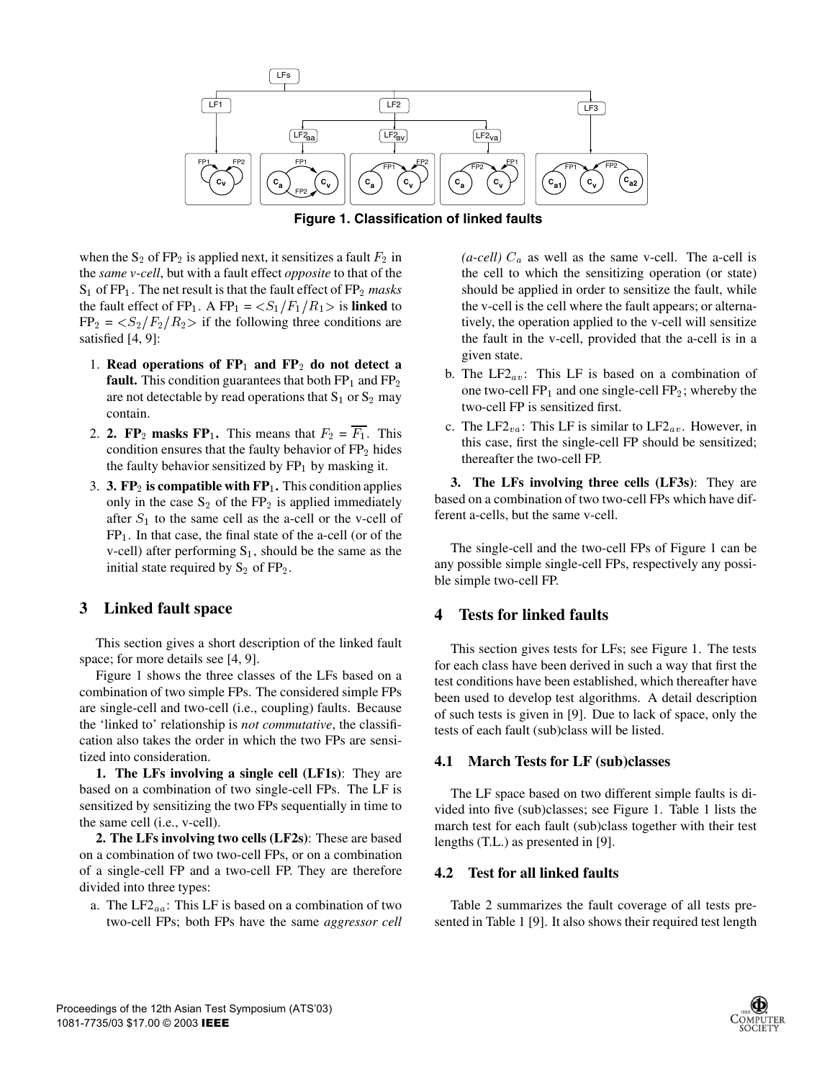

**Figure 1. Classification of linked faults**

when the  $S_2$  of FP<sub>2</sub> is applied next, it sensitizes a fault  $F_2$  in the *same v-cell*, but with a fault effect *opposite* to that of the  $S_1$  of  $FP_1$ . The net result is that the fault effect of  $FP_2$  masks the fault effect of  $FP_1$ . A  $FP_1 = \frac{S_1}{F_1/R_1}$  is **linked** to  $FP_2 = \frac{S_2}{F_2}{R_2}$  if the following three conditions are satisfied [4, 9]:

- 1. **Read operations of**  $\mathbf{FP}_1$  **and**  $\mathbf{FP}_2$  **do not detect a fault.** This condition guarantees that both  $FP_1$  and  $FP_2$ are not detectable by read operations that  $S_1$  or  $S_2$  may contain.
- 2. **2. FP**<sub>2</sub> masks FP<sub>1</sub>. This means that  $F_2 = \overline{F_1}$ . This condition ensures that the faulty behavior of  $FP<sub>2</sub>$  hides the faulty behavior sensitized by  $FP_1$  by masking it.
- 3. **3. FP is compatible with FP.** This condition applies only in the case  $S_2$  of the FP<sub>2</sub> is applied immediately after  $S_1$  to the same cell as the a-cell or the v-cell of  $FP_1$ . In that case, the final state of the a-cell (or of the v-cell) after performing  $S_1$ , should be the same as the initial state required by  $S_2$  of  $FP_2$ .

## **3 Linked fault space**

This section gives a short description of the linked fault space; for more details see [4, 9].

Figure 1 shows the three classes of the LFs based on a combination of two simple FPs. The considered simple FPs are single-cell and two-cell (i.e., coupling) faults. Because the 'linked to' relationship is *not commutative*, the classification also takes the order in which the two FPs are sensitized into consideration.

**1. The LFs involving a single cell (LF1s)**: They are based on a combination of two single-cell FPs. The LF is sensitized by sensitizing the two FPs sequentially in time to the same cell (i.e., v-cell).

**2. The LFs involving two cells (LF2s)**: These are based on a combination of two two-cell FPs, or on a combination of a single-cell FP and a two-cell FP. They are therefore divided into three types:

a. The  $LF2_{aa}$ : This LF is based on a combination of two two-cell FPs; both FPs have the same *aggressor cell* (*a-cell*)  $C_a$  as well as the same v-cell. The a-cell is the cell to which the sensitizing operation (or state) should be applied in order to sensitize the fault, while the v-cell is the cell where the fault appears; or alternatively, the operation applied to the v-cell will sensitize the fault in the v-cell, provided that the a-cell is in a given state.

- b. The  $LF2_{av}$ : This LF is based on a combination of one two-cell  $FP_1$  and one single-cell  $FP_2$ ; whereby the two-cell FP is sensitized first.
- c. The LF2 $_{va}$ : This LF is similar to LF2 $_{av}$ . However, in this case, first the single-cell FP should be sensitized; thereafter the two-cell FP.

**3. The LFs involving three cells (LF3s)**: They are based on a combination of two two-cell FPs which have different a-cells, but the same v-cell.

The single-cell and the two-cell FPs of Figure 1 can be any possible simple single-cell FPs, respectively any possible simple two-cell FP.

### **4 Tests for linked faults**

This section gives tests for LFs; see Figure 1. The tests for each class have been derived in such a way that first the test conditions have been established, which thereafter have been used to develop test algorithms. A detail description of such tests is given in [9]. Due to lack of space, only the tests of each fault (sub)class will be listed.

#### **4.1 March Tests for LF (sub)classes**

The LF space based on two different simple faults is divided into five (sub)classes; see Figure 1. Table 1 lists the march test for each fault (sub)class together with their test lengths (T.L.) as presented in [9].

#### **4.2 Test for all linked faults**

Table 2 summarizes the fault coverage of all tests presented in Table 1 [9]. It also shows their required test length

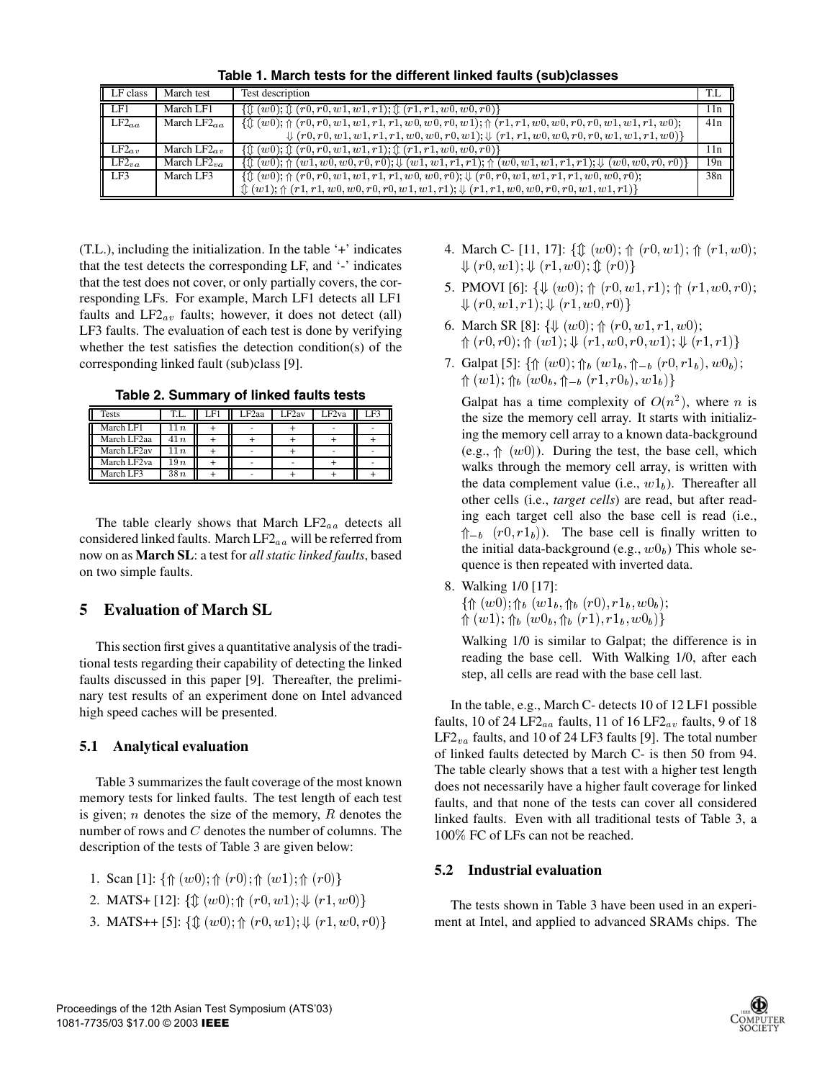|  |  |  |  | Table 1. March tests for the different linked faults (sub)classes |  |  |
|--|--|--|--|-------------------------------------------------------------------|--|--|
|--|--|--|--|-------------------------------------------------------------------|--|--|

| LF class   | March test        | Test description                                                                                                                                       | T.L |
|------------|-------------------|--------------------------------------------------------------------------------------------------------------------------------------------------------|-----|
| $\Box$ F1  | March LF1         | $\{\hat{\psi}(w0), \hat{\psi}(r0, r0, w1, w1, r1), \hat{\psi}(r1, r1, w0, w0, r0)\}\$                                                                  | 11n |
| $LF2_{aa}$ | March LF $2_{aa}$ | $\{\text{if } (w_0), \text{if } (r_0, r_0, w_1, w_1, r_1, r_1, w_0, w_0, r_0, w_1)\}$ $\{\text{if } (r_1, r_1, w_0, w_0, r_0, w_1, w_1, r_1, w_0)\}$   | 41n |
|            |                   | $\downarrow$ $(r0, r0, w1, w1, r1, r1, w0, w0, r0, w1); \downarrow$ $(r1, r1, w0, w0, r0, r0, w1, w1, r1, w0)$                                         |     |
| $LF2_{av}$ | March LF $2_{av}$ | $\{\hat{\mu}(w0), \hat{\mu}(r0, r0, w1, w1, r1), \hat{\mu}(r1, r1, w0, w0, r0)\}\$                                                                     | 11n |
| $LE_{va}$  | March LF2 $_{va}$ | $\{\hat{v}(w_0), \hat{v}(w_1, w_0, w_0, r_0, r_0), \psi(w_1, w_1, r_1, r_1), \hat{v}(w_0, w_1, w_1, r_1, \overline{r_1}), \psi(w_0, w_0, r_0, r_0)\}\$ | 19n |
| LE3        | March LF3         | $\{\hat{\mu}(w0);\hat{\eta}(r0,r0,w1,w1,r1,r1,w0,w0,r0);\}\ (r0,r0,w1,w1,r1,r1,w0,w0,r0);$                                                             | 38n |
|            |                   | $\hat{\mu}(w1);\hat{\uparrow}(r1,r1,w0,w0,r0,r0,w1,w1,r1); \hat{\uparrow}(r1,r1,w0,w0,r0,r0,w1,w1,r1)$                                                 |     |

(T.L.), including the initialization. In the table '+' indicates that the test detects the corresponding LF, and '-' indicates that the test does not cover, or only partially covers, the corresponding LFs. For example, March LF1 detects all LF1 faults and  $LF2_{av}$  faults; however, it does not detect (all) LF3 faults. The evaluation of each test is done by verifying whether the test satisfies the detection condition(s) of the corresponding linked fault (sub)class [9].

**Table 2. Summary of linked faults tests**

| Tests                   | -CL. | LF1 | LF2aa | LF2av | LF2va | LF3 |
|-------------------------|------|-----|-------|-------|-------|-----|
| March LF1               | 11n  |     | ٠     |       | ۰     |     |
| March LF <sub>2aa</sub> | 41n  |     |       |       |       |     |
| March LF <sub>2av</sub> | 11n  |     | ٠     |       | ٠     |     |
| March LF <sub>2va</sub> | 19n  |     |       |       |       |     |
| March LF3               | 38n  |     | ٠     |       |       |     |

The table clearly shows that March  $LF2_{aa}$  detects all considered linked faults. March  $LF2_{aa}$  will be referred from now on as **March SL**: a test for *all static linked faults*, based on two simple faults.

# **5 Evaluation of March SL**

This section first gives a quantitative analysis of the traditional tests regarding their capability of detecting the linked faults discussed in this paper [9]. Thereafter, the preliminary test results of an experiment done on Intel advanced high speed caches will be presented.

## **5.1 Analytical evaluation**

Table 3 summarizes the fault coverage of the most known memory tests for linked faults. The test length of each test is given;  $n$  denotes the size of the memory,  $R$  denotes the number of rows and  $C$  denotes the number of columns. The description of the tests of Table 3 are given below:

- 1. Scan [1]:  $\{\Uparrow(w0);\Uparrow(v0);\Uparrow(w1);\Uparrow(v0)\}$
- 2. MATS+ [12]:  $\{\mathcal{D}(w0)$ ;  $\mathcal{D}(r0, w1)$ ;  $\mathcal{\psi}(r1, w0)$ }
- 3. MATS++ [5]:  $\{\mathcal{D}(w0) \; \mathcal{D}(r0, w1); \mathcal{D}(r1, w0, r0)\}$
- 4. March C- [11, 17]:  $\{\hat{\psi}(w0)$ ;  $\hat{\psi}(r0,w1)$ ;  $\hat{\psi}(r1,w0)$ ;  $\Downarrow$   $(r0, w1); \Downarrow$   $(r1, w0); \Downarrow$   $(r0)$
- 5. PMOVI [6]:  $\{\Downarrow (w0); \Uparrow (r0, w1, r1); \Uparrow (r1, w0, r0);$  $\downarrow$   $(r0, w1, r1); \downarrow$   $(r1, w0, r0)$
- 6. March SR [8]:  $\{\Downarrow (w0); \Uparrow (r0, w1, r1, w0);$  $\Uparrow(r0,r0); \Uparrow(w1); \Downarrow(r1,w0,r0,w1); \Downarrow(r1,r1)$
- 7. Galpat [5]:  $\{\Uparrow(w0);\Uparrow_b(w1_b,\Uparrow_{-b} (r0,r1_b),w0_b);$  $\Uparrow (w1); \Uparrow_b (w0_b, \Uparrow_{-b} (r1, r0_b), w1_b)\}$

Galpat has a time complexity of  $O(n^2)$ , where *n* is the size the memory cell array. It starts with initializing the memory cell array to a known data-background (e.g.,  $\Uparrow$   $(w0)$ ). During the test, the base cell, which walks through the memory cell array, is written with the data complement value (i.e.,  $w1<sub>b</sub>$ ). Thereafter all other cells (i.e., *target cells*) are read, but after reading each target cell also the base cell is read (i.e.,  $\uparrow f_{-b}$   $(r0, r1_b)$ ). The base cell is finally written to the initial data-background (e.g.,  $w0<sub>b</sub>$ ) This whole sequence is then repeated with inverted data.

8. Walking 1/0 [17]:

 $\{\Uparrow (w0); \Uparrow_b (w1_b, \Uparrow_b (r0), r1_b, w0_b);$  $\Uparrow (w1); \Uparrow_b (w0_b, \Uparrow_b (r1), r1_b, w0_b)\}$ 

Walking 1/0 is similar to Galpat; the difference is in reading the base cell. With Walking 1/0, after each step, all cells are read with the base cell last.

In the table, e.g., March C- detects 10 of 12 LF1 possible faults, 10 of 24 LF2<sub>aa</sub> faults, 11 of 16 LF2<sub>av</sub> faults, 9 of 18  $LF2_{va}$  faults, and 10 of 24 LF3 faults [9]. The total number of linked faults detected by March C- is then 50 from 94. The table clearly shows that a test with a higher test length does not necessarily have a higher fault coverage for linked faults, and that none of the tests can cover all considered linked faults. Even with all traditional tests of Table 3, a 100% FC of LFs can not be reached.

## **5.2 Industrial evaluation**

 ment at Intel, and applied to advanced SRAMs chips. The The tests shown in Table 3 have been used in an experi-

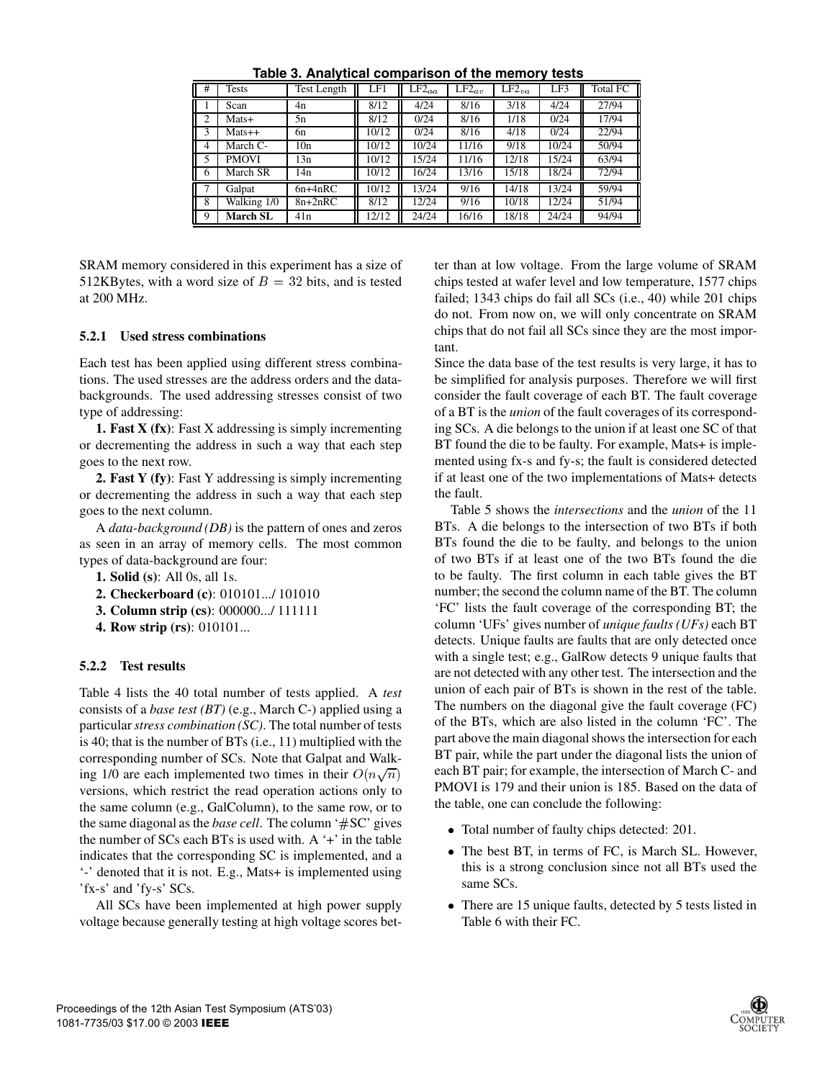| # | <b>Tests</b>    | Test Length | LF1   | $LF2_{aa}$ | $LF2_{av}$ | LF2 <sub>va</sub> | LF3   | <b>Total FC</b> |
|---|-----------------|-------------|-------|------------|------------|-------------------|-------|-----------------|
|   | Scan            | 4n          | 8/12  | 4/24       | 8/16       | 3/18              | 4/24  | 27/94           |
|   | Mats+           | 5n          | 8/12  | 0/24       | 8/16       | 1/18              | 0/24  | 17/94           |
| 3 | $Mats++$        | 6n          | 10/12 | 0/24       | 8/16       | 4/18              | 0/24  | 22/94           |
| 4 | March C-        | 10n         | 10/12 | 10/24      | 11/16      | 9/18              | 10/24 | 50/94           |
|   | <b>PMOVI</b>    | 13n         | 10/12 | 15/24      | 11/16      | 12/18             | 15/24 | 63/94           |
| h | March SR        | 14n         | 10/12 | 16/24      | 13/16      | 15/18             | 18/24 | 72/94           |
|   | Galpat          | $6n+4nRC$   | 10/12 | 13/24      | 9/16       | 14/18             | 13/24 | 59/94           |
| 8 | Walking 1/0     | $8n+2nRC$   | 8/12  | 12/24      | 9/16       | 10/18             | 12/24 | 51/94           |
| 9 | <b>March SL</b> | 41 n        | 12/12 | 24/24      | 16/16      | 18/18             | 24/24 | 94/94           |

**Table 3. Analytical comparison of the memory tests**

SRAM memory considered in this experiment has a size of 512KBytes, with a word size of  $B = 32$  bits, and is tested at 200 MHz.

### **5.2.1 Used stress combinations**

Each test has been applied using different stress combinations. The used stresses are the address orders and the databackgrounds. The used addressing stresses consist of two type of addressing:

**1. Fast X (fx)**: Fast X addressing is simply incrementing or decrementing the address in such a way that each step goes to the next row.

**2. Fast Y (fy)**: Fast Y addressing is simply incrementing or decrementing the address in such a way that each step goes to the next column.

A *data-background (DB)* is the pattern of ones and zeros as seen in an array of memory cells. The most common types of data-background are four:

- **2. Checkerboard (c)**: 010101.../ 101010
- **3. Column strip (cs)**: 000000.../ 111111
- **4. Row strip (rs)**: 010101...

### **5.2.2 Test results**

Table 4 lists the 40 total number of tests applied. A *test* consists of a *base test (BT)* (e.g., March C-) applied using a particular*stress combination (SC)*. The total number of tests is 40; that is the number of BTs (i.e., 11) multiplied with the corresponding number of SCs. Note that Galpat and Walking 1/0 are each implemented two times in their  $O(n\sqrt{n})$  e versions, which restrict the read operation actions only to the same column (e.g., GalColumn), to the same row, or to the same diagonal as the *base cell*. The column '#SC' gives the number of SCs each BTs is used with. A '+' in the table indicates that the corresponding SC is implemented, and a '-' denoted that it is not. E.g., Mats+ is implemented using 'fx-s' and 'fy-s' SCs.

All SCs have been implemented at high power supply voltage because generally testing at high voltage scores better than at low voltage. From the large volume of SRAM chips tested at wafer level and low temperature, 1577 chips failed; 1343 chips do fail all SCs (i.e., 40) while 201 chips do not. From now on, we will only concentrate on SRAM chips that do not fail all SCs since they are the most important.

Since the data base of the test results is very large, it has to be simplified for analysis purposes. Therefore we will first consider the fault coverage of each BT. The fault coverage of a BT is the *union* of the fault coverages of its corresponding SCs. A die belongs to the union if at least one SC of that BT found the die to be faulty. For example, Mats+ is implemented using fx-s and fy-s; the fault is considered detected if at least one of the two implementations of Mats+ detects the fault.

 $\sqrt{n}$  each BT pair; for example, the intersection of March C- and Table 5 shows the *intersections* and the *union* of the 11 BTs. A die belongs to the intersection of two BTs if both BTs found the die to be faulty, and belongs to the union of two BTs if at least one of the two BTs found the die to be faulty. The first column in each table gives the BT number; the second the column name of the BT. The column 'FC' lists the fault coverage of the corresponding BT; the column 'UFs' gives number of *unique faults (UFs)* each BT detects. Unique faults are faults that are only detected once with a single test; e.g., GalRow detects 9 unique faults that are not detected with any other test. The intersection and the union of each pair of BTs is shown in the rest of the table. The numbers on the diagonal give the fault coverage (FC) of the BTs, which are also listed in the column 'FC'. The part above the main diagonal shows the intersection for each BT pair, while the part under the diagonal lists the union of PMOVI is 179 and their union is 185. Based on the data of the table, one can conclude the following:

- Total number of faulty chips detected: 201.
- The best BT, in terms of FC, is March SL. However, this is a strong conclusion since not all BTs used the same SCs.
- There are 15 unique faults, detected by 5 tests listed in Table 6 with their FC.



**<sup>1.</sup> Solid (s)**: All 0s, all 1s.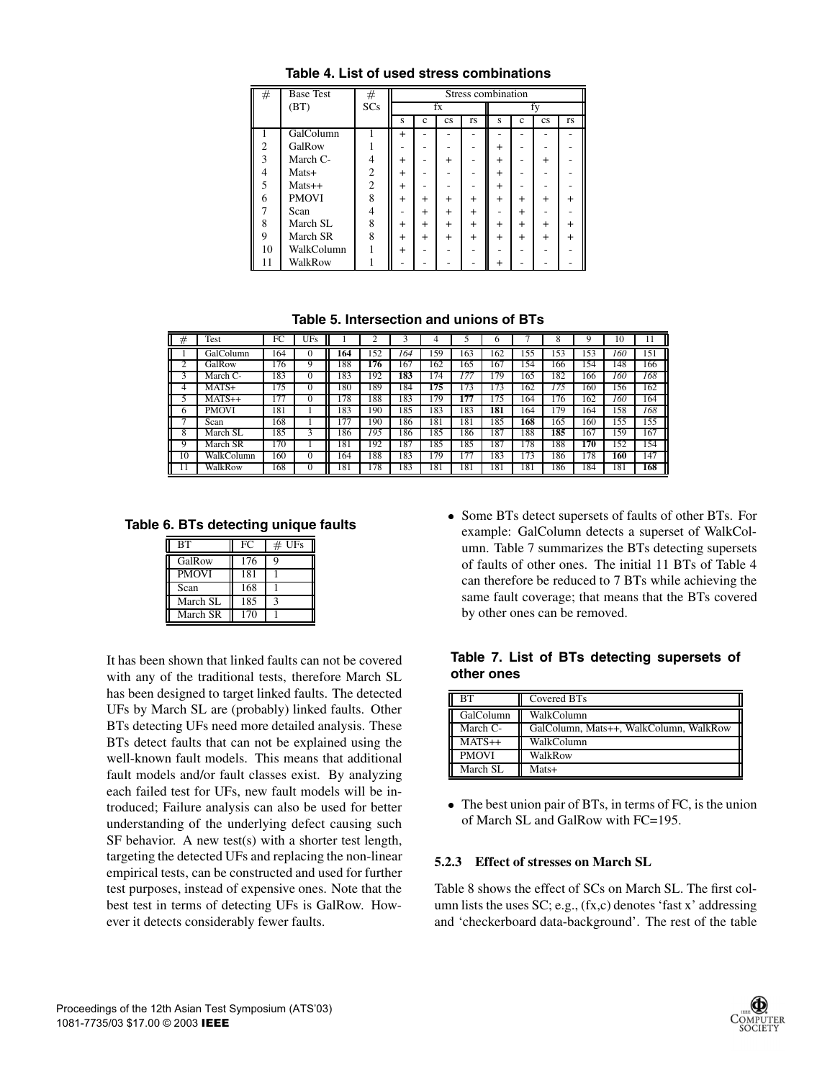| Table 4. List of used stress combinations |  |
|-------------------------------------------|--|
|-------------------------------------------|--|

| #  | <b>Base Test</b> | #              | <b>Stress combination</b> |           |           |           |              |              |              |                |
|----|------------------|----------------|---------------------------|-----------|-----------|-----------|--------------|--------------|--------------|----------------|
|    | (BT)             | SCs            |                           |           | fx        |           | fv           |              |              |                |
|    |                  |                | S                         | c         | <b>CS</b> | rs        | S            | $\mathbf{c}$ | <b>CS</b>    | rs             |
|    | GalColumn        |                | $^{+}$                    |           |           |           |              |              |              |                |
| 2  | GalRow           |                |                           |           |           |           | $\ddot{}$    |              |              |                |
| 3  | March C-         | 4              | $\overline{+}$            |           | $\ddot{}$ |           | $\ddot{}$    |              | $\mathrm{+}$ |                |
| 4  | Mats+            | $\overline{2}$ | $\ddot{}$                 |           |           |           | $\ddot{}$    |              |              |                |
| 5  | $Mats++$         | $\overline{2}$ | $\overline{+}$            |           |           |           | $\ddot{}$    |              |              |                |
| 6  | <b>PMOVI</b>     | 8              | $\ddot{}$                 | $\ddot{}$ | $\ddot{}$ | $\ddot{}$ | $\ddot{}$    | $\ddot{}$    | $\ddot{}$    | $\ddot{}$      |
|    | Scan             | 4              |                           | $\ddot{}$ | $\ddot{}$ | $\ddot{}$ | ۰            | $\ddot{}$    |              |                |
| 8  | March SL         | 8              | $\overline{+}$            | $+$       | $\ddot{}$ | $\ddot{}$ | $\ddot{}$    | $\ddot{}$    | $\ddot{}$    | $\overline{+}$ |
| 9  | March SR         | 8              | $\ddot{}$                 | $\ddot{}$ | $\ddot{}$ | $\ddot{}$ | $\ddot{}$    | $\ddot{}$    | $\ddot{}$    |                |
| 10 | WalkColumn       |                | $\overline{+}$            |           |           |           |              |              |              |                |
| 11 | WalkRow          |                |                           |           |           |           | $\mathrm{+}$ |              |              |                |

### **Table 5. Intersection and unions of BTs**

| #      | Test         | FC  | <b>UFs</b> |     | ◠   |     | 4   |     | 6   |     | 8   | q   | 10  |     |
|--------|--------------|-----|------------|-----|-----|-----|-----|-----|-----|-----|-----|-----|-----|-----|
|        | GalColumn    | 164 |            | 64  | 152 | 64  | 159 | 163 | 62  | 155 | 53  | 52ء | 160 | 151 |
| $\sim$ | GalRow       | 176 | 9          | 188 | 176 | 167 | 162 | 165 | 167 | 154 | 166 | 154 | 148 | 166 |
|        | March C-     | 183 | 0          | 83  | 192 | 183 | 174 | 177 | 79  | 165 | 182 | 166 | 160 | 168 |
| 4      | $MATS+$      | 175 | 0          | 180 | 189 | 184 | 175 | 173 | 173 | 162 | 75  | 160 | 156 | 162 |
|        | $MATS++$     | 177 |            | '78 | 188 | 183 | 179 | 177 | 175 | 164 | 176 | 162 | 160 | 164 |
| 6      | <b>PMOVI</b> | 181 |            | 183 | 190 | 185 | 183 | 183 | 181 | 164 | .79 | 164 | 158 | 168 |
|        | Scan         | 168 |            | 77  | 190 | 186 | 181 | 181 | 185 | 168 | 165 | 160 | 155 | 155 |
| ō      | March SL     | 185 | 3          | 186 | 195 | 186 | 185 | 186 | 187 | 188 | 185 | 167 | 159 | 167 |
| Q      | March SR     | 170 |            | 181 | 192 | 187 | 185 | 185 | 187 | 178 | 188 | 170 | 152 | 154 |
| 10     | WalkColumn   | 160 | 0          | 164 | 188 | 183 | 179 | 177 | 183 | 173 | 186 | 178 | 160 | 147 |
|        | WalkRow      | 168 |            | 181 | 178 | 183 | 181 | 181 | 181 | 181 | 186 | 184 | 181 | 168 |

**Table 6. BTs detecting unique faults**

| <b>BT</b>    | FC  | $# \text{UFs}$ |  |
|--------------|-----|----------------|--|
| GalRow       | 176 |                |  |
| <b>PMOVI</b> | 181 |                |  |
| Scan         | 168 |                |  |
| March SL     | 185 |                |  |
| March SR     | 170 |                |  |

It has been shown that linked faults can not be covered with any of the traditional tests, therefore March SL has been designed to target linked faults. The detected UFs by March SL are (probably) linked faults. Other BTs detecting UFs need more detailed analysis. These BTs detect faults that can not be explained using the well-known fault models. This means that additional fault models and/or fault classes exist. By analyzing each failed test for UFs, new fault models will be introduced; Failure analysis can also be used for better understanding of the underlying defect causing such SF behavior. A new test(s) with a shorter test length, targeting the detected UFs and replacing the non-linear empirical tests, can be constructed and used for further test purposes, instead of expensive ones. Note that the best test in terms of detecting UFs is GalRow. However it detects considerably fewer faults.

 Some BTs detect supersets of faults of other BTs. For example: GalColumn detects a superset of WalkColumn. Table 7 summarizes the BTs detecting supersets of faults of other ones. The initial 11 BTs of Table 4 can therefore be reduced to 7 BTs while achieving the same fault coverage; that means that the BTs covered by other ones can be removed.

#### **Table 7. List of BTs detecting supersets of other ones**

| BТ           | Covered BTs                            |
|--------------|----------------------------------------|
| GalColumn    | WalkColumn                             |
| March C-     | GalColumn, Mats++, WalkColumn, WalkRow |
| $MATS++$     | WalkColumn                             |
| <b>PMOVI</b> | WalkRow                                |
| March SL     | $Mats+$                                |

 The best union pair of BTs, in terms of FC, is the union of March SL and GalRow with FC=195.

### **5.2.3 Effect of stresses on March SL**

Table 8 shows the effect of SCs on March SL. The first column lists the uses SC; e.g., (fx,c) denotes 'fast x' addressing and 'checkerboard data-background'. The rest of the table